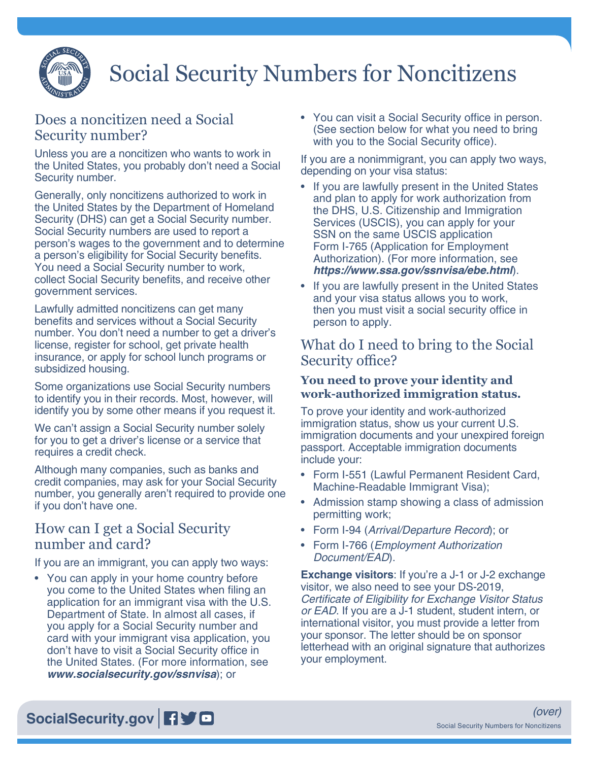

# Social Security Numbers for Noncitizens

## Does a noncitizen need a Social Security number?

Unless you are a noncitizen who wants to work in the United States, you probably don't need a Social Security number.

Generally, only noncitizens authorized to work in the United States by the Department of Homeland Security (DHS) can get a Social Security number. Social Security numbers are used to report a person's wages to the government and to determine a person's eligibility for Social Security benefits. You need a Social Security number to work, collect Social Security benefits, and receive other government services.

Lawfully admitted noncitizens can get many benefits and services without a Social Security number. You don't need a number to get a driver's license, register for school, get private health insurance, or apply for school lunch programs or subsidized housing.

Some organizations use Social Security numbers to identify you in their records. Most, however, will identify you by some other means if you request it.

We can't assign a Social Security number solely for you to get a driver's license or a service that requires a credit check.

Although many companies, such as banks and credit companies, may ask for your Social Security number, you generally aren't required to provide one if you don't have one.

### How can I get a Social Security number and card?

If you are an immigrant, you can apply two ways:

• You can apply in your home country before you come to the United States when filing an application for an immigrant visa with the U.S. Department of State. In almost all cases, if you apply for a Social Security number and card with your immigrant visa application, you don't have to visit a Social Security office in the United States. (For more information, see *[www.socialsecurity.gov/ssnvisa](https://www.ssa.gov/ssnvisa/)*); or

• You can visit a Social Security office in person. (See section below for what you need to bring with you to the Social Security office).

If you are a nonimmigrant, you can apply two ways, depending on your visa status:

- If you are lawfully present in the United States and plan to apply for work authorization from the DHS, U.S. Citizenship and Immigration Services (USCIS), you can apply for your SSN on the same USCIS application Form I-765 (Application for Employment Authorization). (For more information, see *<https://www.ssa.gov/ssnvisa/ebe.html>*)[.](https://www.ssa.gov/ssnvisa/ebe.html)
- If you are lawfully present in the United States and your visa status allows you to work, then you must visit a social security office in person to apply.

## What do I need to bring to the Social Security office?

#### **You need to prove your identity and work-authorized immigration status.**

To prove your identity and work-authorized immigration status, show us your current U.S. immigration documents and your unexpired foreign passport. Acceptable immigration documents include your:

- Form I-551 (Lawful Permanent Resident Card, Machine-Readable Immigrant Visa);
- Admission stamp showing a class of admission permitting work;
- Form I-94 (*Arrival/Departure Record*); or
- Form I-766 (*Employment Authorization Document/EAD*).

**Exchange visitors**: If you're a J-1 or J-2 exchange visitor, we also need to see your DS-2019, Certificate of Eligibility for Exchange Visitor Status *or EAD*. If you are a J-1 student, student intern, or international visitor, you must provide a letter from your sponsor. The letter should be on sponsor letterhead with an original signature that authorizes your employment.